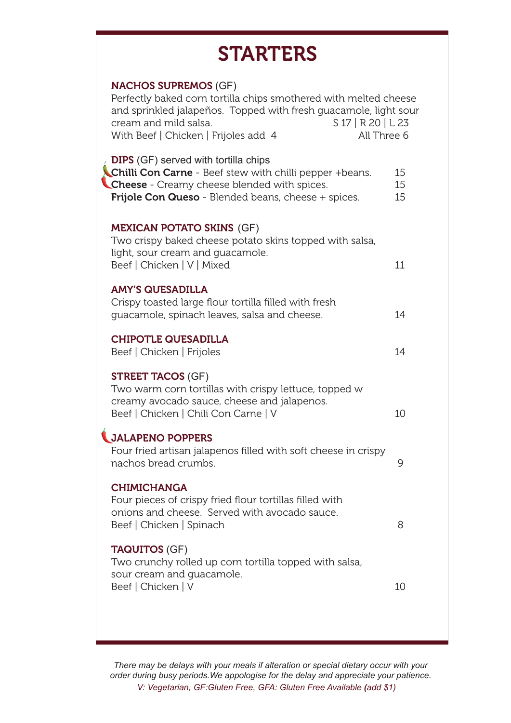# **STARTERS**

| <b>NACHOS SUPREMOS (GF)</b><br>Perfectly baked corn tortilla chips smothered with melted cheese<br>and sprinkled jalapeños. Topped with fresh guacamole, light sour<br>cream and mild salsa.<br>S 17   R 20   L 23<br>With Beef   Chicken   Frijoles add 4<br>All Three 6 |                |
|---------------------------------------------------------------------------------------------------------------------------------------------------------------------------------------------------------------------------------------------------------------------------|----------------|
| <b>DIPS</b> (GF) served with tortilla chips<br><b>Chilli Con Carne</b> - Beef stew with chilli pepper +beans.<br>Cheese - Creamy cheese blended with spices.<br>Frijole Con Queso - Blended beans, cheese + spices.                                                       | 15<br>15<br>15 |
| <b>MEXICAN POTATO SKINS (GF)</b><br>Two crispy baked cheese potato skins topped with salsa,<br>light, sour cream and quacamole.<br>Beef   Chicken   V   Mixed                                                                                                             | 11             |
| <b>AMY'S QUESADILLA</b><br>Crispy toasted large flour tortilla filled with fresh<br>guacamole, spinach leaves, salsa and cheese.                                                                                                                                          | 14             |
| <b>CHIPOTLE QUESADILLA</b><br>Beef   Chicken   Frijoles                                                                                                                                                                                                                   | 14             |
| <b>STREET TACOS (GF)</b><br>Two warm corn tortillas with crispy lettuce, topped w<br>creamy avocado sauce, cheese and jalapenos.<br>Beef   Chicken   Chili Con Carne   V                                                                                                  | 10             |
| <b>JALAPENO POPPERS</b><br>Four fried artisan jalapenos filled with soft cheese in crispy<br>nachos bread crumbs.                                                                                                                                                         | 9              |
| <b>CHIMICHANGA</b><br>Four pieces of crispy fried flour tortillas filled with<br>onions and cheese. Served with avocado sauce.<br>Beef   Chicken   Spinach                                                                                                                | 8              |
| <b>TAQUITOS (GF)</b><br>Two crunchy rolled up corn tortilla topped with salsa,<br>sour cream and guacamole.<br>Beef   Chicken   V                                                                                                                                         | 10             |

*There may be delays with your meals if alteration or special dietary occur with your order during busy periods.We appologise for the delay and appreciate your patience. V: Vegetarian, GF:Gluten Free, GFA: Gluten Free Available (add \$1)*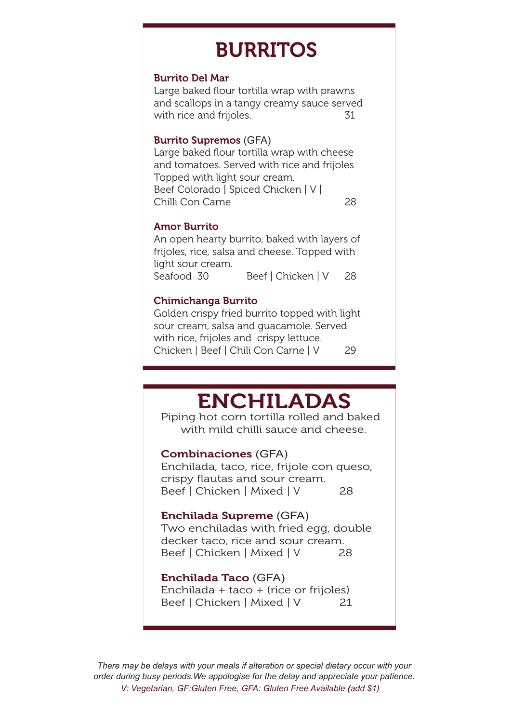# BURRITOS

#### Burrito Del Mar

Large baked flour tortilla wrap with prawns and scallops in a tangy creamy sauce served with rice and frijoles. 31

#### Burrito Supremos (GFA)

Large baked flour tortilla wrap with cheese and tomatoes. Served with rice and frijoles Topped with light sour cream. Beef Colorado | Spiced Chicken | V | Chilli Con Carne 28

#### Amor Burrito

An open hearty burrito, baked with layers of frijoles, rice, salsa and cheese. Topped with light sour cream. Seafood 30 Beef | Chicken | V 28

#### Chimichanga Burrito

Golden crispy fried burrito topped with light sour cream, salsa and guacamole. Served with rice, frijoles and crispy lettuce. Chicken | Beef | Chili Con Carne | V 29

# ENCHILADAS

Piping hot corn tortilla rolled and baked with mild chilli sauce and cheese.

#### Combinaciones (GFA)

Enchilada, taco, rice, frijole con queso, crispy flautas and sour cream. Beef | Chicken | Mixed | V 28

#### Enchilada Supreme (GFA)

Two enchiladas with fried egg, double decker taco, rice and sour cream. Beef | Chicken | Mixed | V 28

#### Enchilada Taco (GFA)

Enchilada + taco + (rice or frijoles) Beef | Chicken | Mixed | V 21

*There may be delays with your meals if alteration or special dietary occur with your order during busy periods.We appologise for the delay and appreciate your patience. V: Vegetarian, GF:Gluten Free, GFA: Gluten Free Available (add \$1)*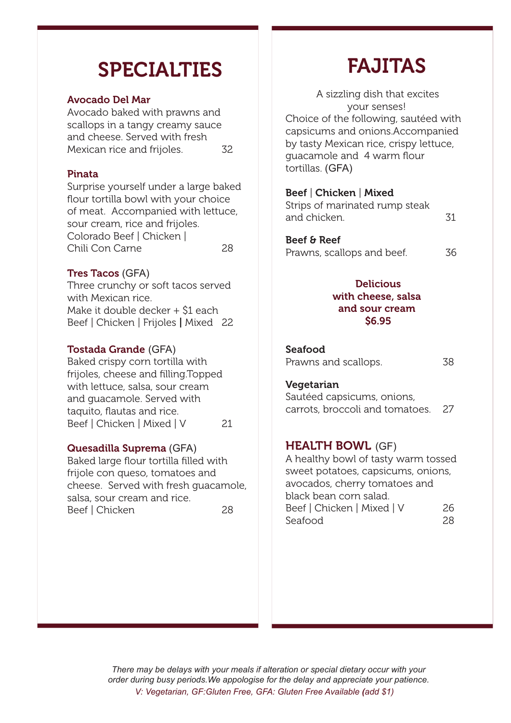# SPECIALTIES

### Avocado Del Mar

Avocado baked with prawns and scallops in a tangy creamy sauce and cheese. Served with fresh Mexican rice and frijoles. 32

## Pinata

Surprise yourself under a large baked flour tortilla bowl with your choice of meat. Accompanied with lettuce, sour cream, rice and frijoles. Colorado Beef | Chicken | Chili Con Carne 28

### Tres Tacos (GFA)

Three crunchy or soft tacos served with Mexican rice. Make it double decker + \$1 each Beef | Chicken | Frijoles | Mixed 22

### Tostada Grande (GFA)

Baked crispy corn tortilla with frijoles, cheese and filling.Topped with lettuce, salsa, sour cream and guacamole. Served with taquito, flautas and rice. Beef | Chicken | Mixed | V 21

### Quesadilla Suprema (GFA)

Baked large flour tortilla filled with frijole con queso, tomatoes and cheese. Served with fresh guacamole, salsa, sour cream and rice. Beef | Chicken 28

# FAJITAS

 A sizzling dish that excites your senses! Choice of the following, sautéed with capsicums and onions.Accompanied by tasty Mexican rice, crispy lettuce, guacamole and 4 warm flour tortillas. (GFA)

### Beef | Chicken | Mixed

| Strips of marinated rump steak |    |
|--------------------------------|----|
| and chicken.                   | 31 |

## Beef & Reef

Prawns, scallops and beef. 36

### **Delicious** with cheese, salsa and sour cream \$6.95

#### Seafood

| Prawns and scallops. | 38 |
|----------------------|----|
|----------------------|----|

#### Vegetarian

Sautéed capsicums, onions, carrots, broccoli and tomatoes. 27

### **HEALTH BOWL (GF)**

A healthy bowl of tasty warm tossed sweet potatoes, capsicums, onions, avocados, cherry tomatoes and black bean corn salad. Beef | Chicken | Mixed | V 26 Seafood 28

*There may be delays with your meals if alteration or special dietary occur with your order during busy periods.We appologise for the delay and appreciate your patience. V: Vegetarian, GF:Gluten Free, GFA: Gluten Free Available (add \$1)*